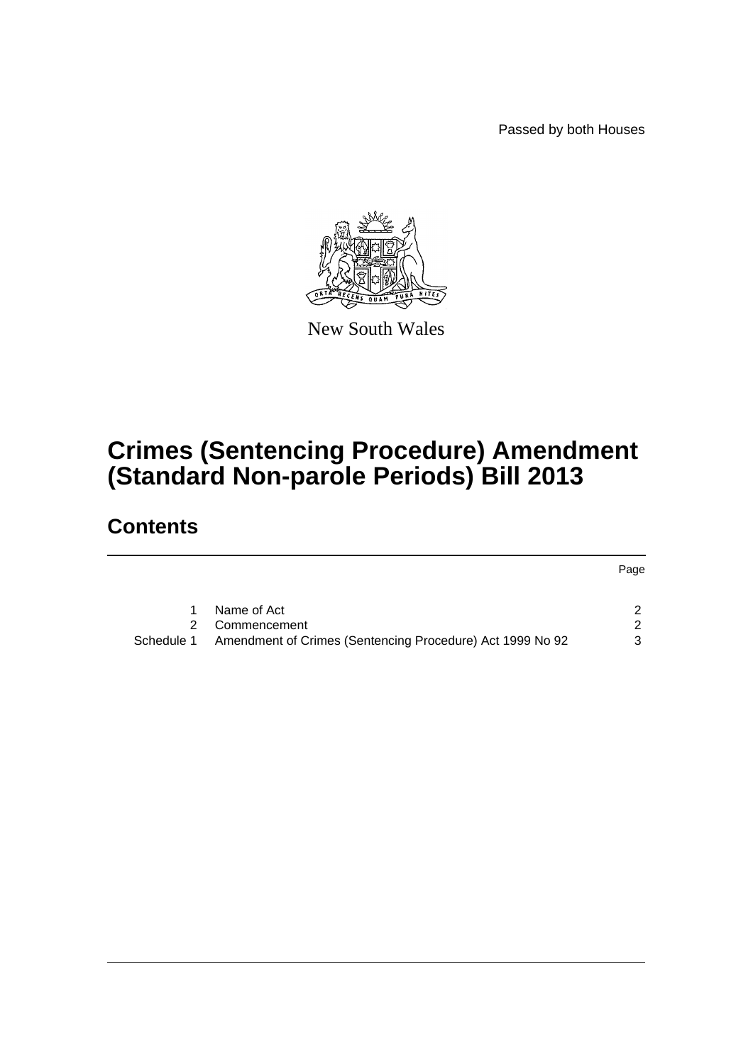Passed by both Houses



New South Wales

## **Crimes (Sentencing Procedure) Amendment (Standard Non-parole Periods) Bill 2013**

## **Contents**

|               |                                                           | Page |
|---------------|-----------------------------------------------------------|------|
|               |                                                           |      |
|               | Name of Act                                               |      |
| $\mathcal{P}$ | Commencement                                              | 2    |
| Schedule 1    | Amendment of Crimes (Sentencing Procedure) Act 1999 No 92 | 3    |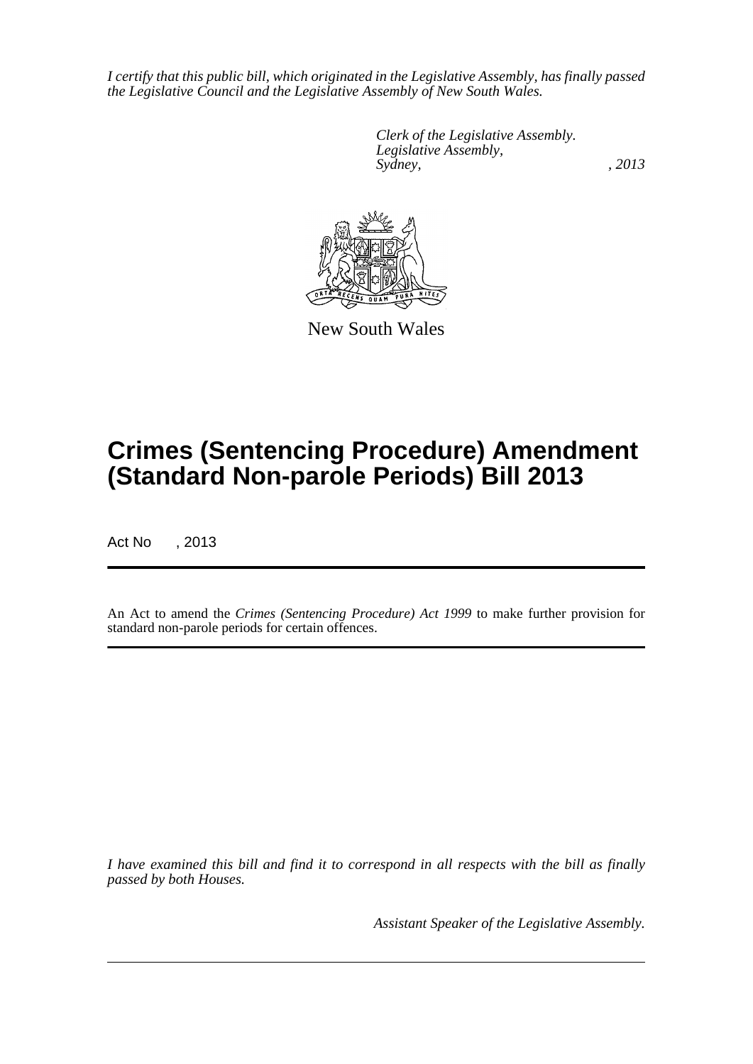*I certify that this public bill, which originated in the Legislative Assembly, has finally passed the Legislative Council and the Legislative Assembly of New South Wales.*

> *Clerk of the Legislative Assembly. Legislative Assembly, Sydney, , 2013*



New South Wales

# **Crimes (Sentencing Procedure) Amendment (Standard Non-parole Periods) Bill 2013**

Act No , 2013

An Act to amend the *Crimes (Sentencing Procedure) Act 1999* to make further provision for standard non-parole periods for certain offences.

*I have examined this bill and find it to correspond in all respects with the bill as finally passed by both Houses.*

*Assistant Speaker of the Legislative Assembly.*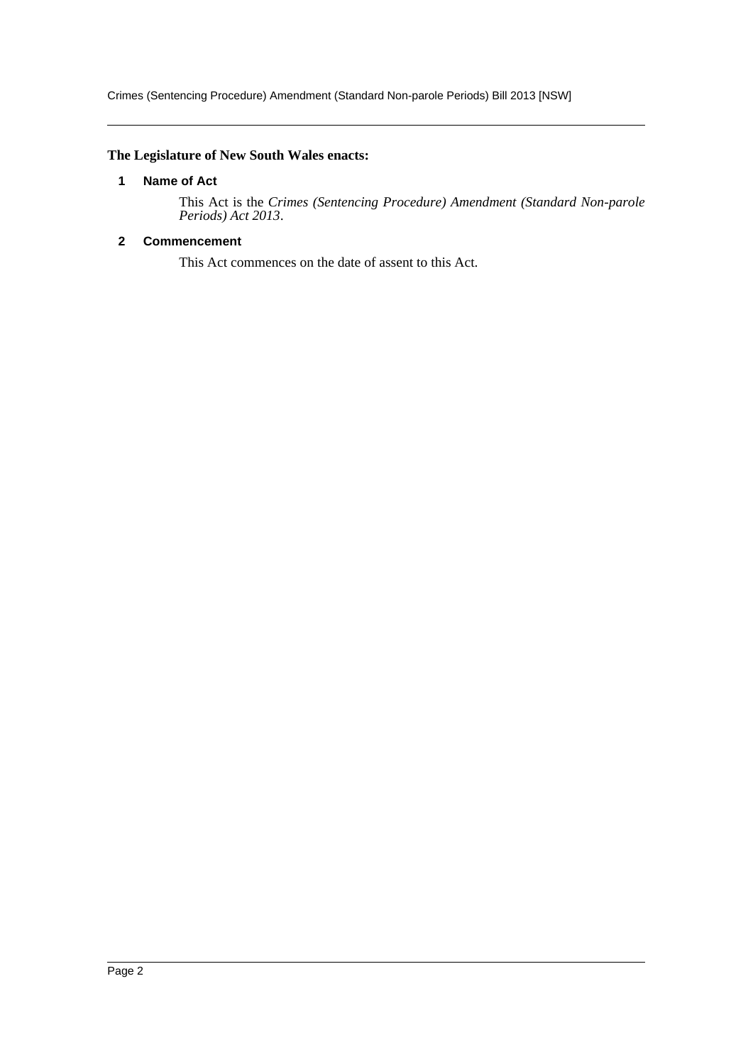Crimes (Sentencing Procedure) Amendment (Standard Non-parole Periods) Bill 2013 [NSW]

#### <span id="page-2-0"></span>**The Legislature of New South Wales enacts:**

#### **1 Name of Act**

This Act is the *Crimes (Sentencing Procedure) Amendment (Standard Non-parole Periods) Act 2013*.

#### <span id="page-2-1"></span>**2 Commencement**

This Act commences on the date of assent to this Act.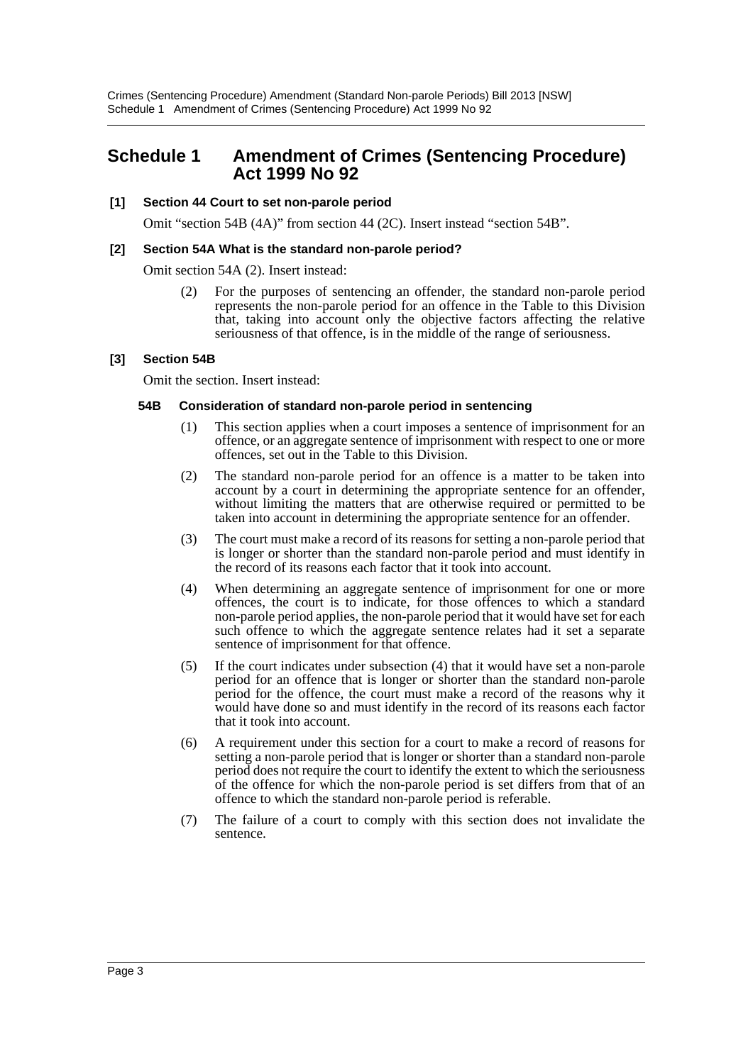### <span id="page-3-0"></span>**Schedule 1 Amendment of Crimes (Sentencing Procedure) Act 1999 No 92**

#### **[1] Section 44 Court to set non-parole period**

Omit "section 54B (4A)" from section 44 (2C). Insert instead "section 54B".

#### **[2] Section 54A What is the standard non-parole period?**

Omit section 54A (2). Insert instead:

(2) For the purposes of sentencing an offender, the standard non-parole period represents the non-parole period for an offence in the Table to this Division that, taking into account only the objective factors affecting the relative seriousness of that offence, is in the middle of the range of seriousness.

#### **[3] Section 54B**

Omit the section. Insert instead:

#### **54B Consideration of standard non-parole period in sentencing**

- (1) This section applies when a court imposes a sentence of imprisonment for an offence, or an aggregate sentence of imprisonment with respect to one or more offences, set out in the Table to this Division.
- (2) The standard non-parole period for an offence is a matter to be taken into account by a court in determining the appropriate sentence for an offender, without limiting the matters that are otherwise required or permitted to be taken into account in determining the appropriate sentence for an offender.
- (3) The court must make a record of its reasons for setting a non-parole period that is longer or shorter than the standard non-parole period and must identify in the record of its reasons each factor that it took into account.
- (4) When determining an aggregate sentence of imprisonment for one or more offences, the court is to indicate, for those offences to which a standard non-parole period applies, the non-parole period that it would have set for each such offence to which the aggregate sentence relates had it set a separate sentence of imprisonment for that offence.
- (5) If the court indicates under subsection (4) that it would have set a non-parole period for an offence that is longer or shorter than the standard non-parole period for the offence, the court must make a record of the reasons why it would have done so and must identify in the record of its reasons each factor that it took into account.
- (6) A requirement under this section for a court to make a record of reasons for setting a non-parole period that is longer or shorter than a standard non-parole period does not require the court to identify the extent to which the seriousness of the offence for which the non-parole period is set differs from that of an offence to which the standard non-parole period is referable.
- (7) The failure of a court to comply with this section does not invalidate the sentence.